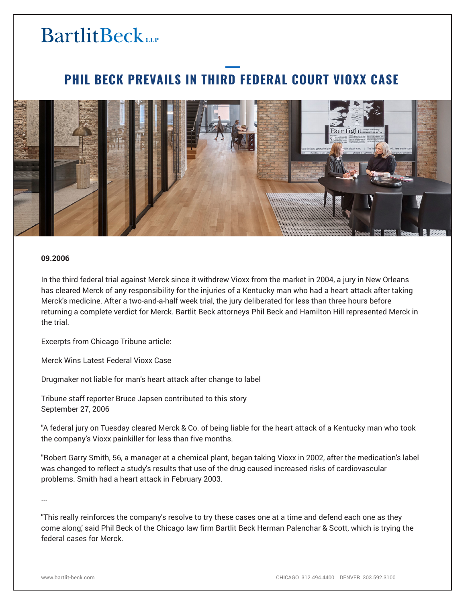# **BartlitBeck**

### **PHIL BECK PREVAILS IN THIRD FEDERAL COURT VIOXX CASE**



#### **09.2006**

In the third federal trial against Merck since it withdrew Vioxx from the market in 2004, a jury in New Orleans has cleared Merck of any responsibility for the injuries of a Kentucky man who had a heart attack after taking Merck's medicine. After a two-and-a-half week trial, the jury deliberated for less than three hours before returning a complete verdict for Merck. Bartlit Beck attorneys Phil Beck and Hamilton Hill represented Merck in the trial.

Excerpts from Chicago Tribune article:

Merck Wins Latest Federal Vioxx Case

Drugmaker not liable for man's heart attack after change to label

Tribune staff reporter Bruce Japsen contributed to this story September 27, 2006

"A federal jury on Tuesday cleared Merck & Co. of being liable for the heart attack of a Kentucky man who took the company's Vioxx painkiller for less than five months.

"Robert Garry Smith, 56, a manager at a chemical plant, began taking Vioxx in 2002, after the medication's label was changed to reflect a study's results that use of the drug caused increased risks of cardiovascular problems. Smith had a heart attack in February 2003.

...

"This really reinforces the company's resolve to try these cases one at a time and defend each one as they come along,' said Phil Beck of the Chicago law firm Bartlit Beck Herman Palenchar & Scott, which is trying the federal cases for Merck.